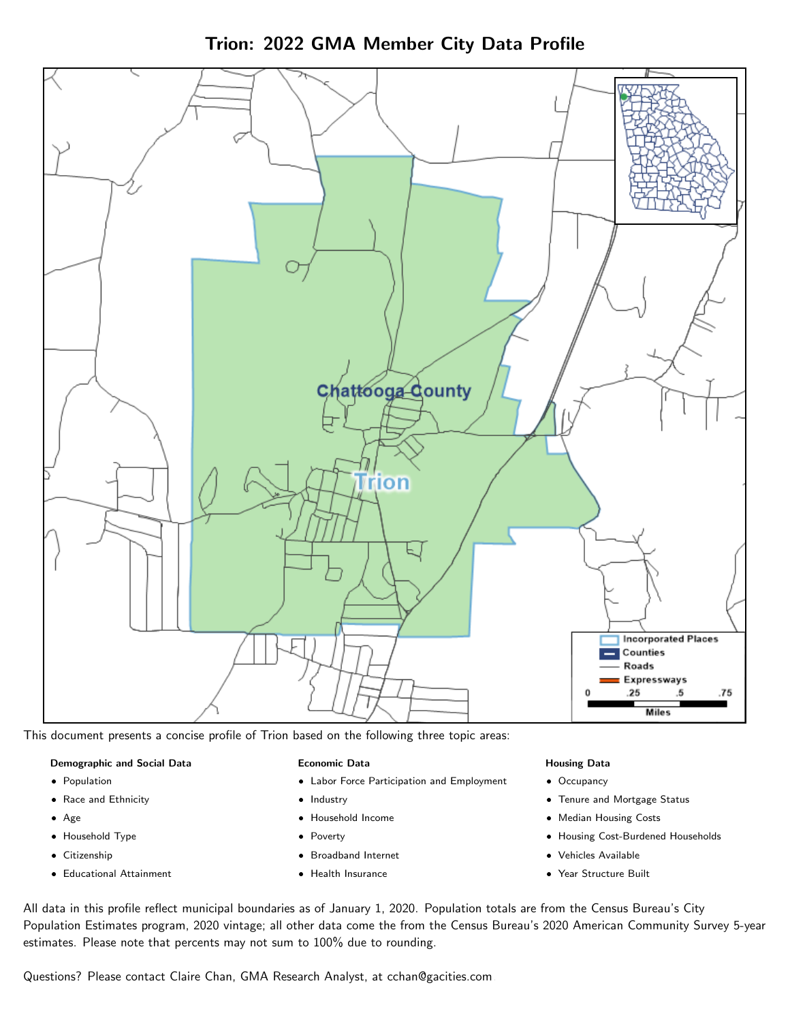



This document presents a concise profile of Trion based on the following three topic areas:

#### Demographic and Social Data

- **•** Population
- Race and Ethnicity
- Age
- Household Type
- **Citizenship**
- Educational Attainment

#### Economic Data

- Labor Force Participation and Employment
- Industry
- Household Income
- Poverty
- Broadband Internet
- Health Insurance

#### Housing Data

- Occupancy
- Tenure and Mortgage Status
- Median Housing Costs
- Housing Cost-Burdened Households
- Vehicles Available
- Year Structure Built

All data in this profile reflect municipal boundaries as of January 1, 2020. Population totals are from the Census Bureau's City Population Estimates program, 2020 vintage; all other data come the from the Census Bureau's 2020 American Community Survey 5-year estimates. Please note that percents may not sum to 100% due to rounding.

Questions? Please contact Claire Chan, GMA Research Analyst, at [cchan@gacities.com.](mailto:cchan@gacities.com)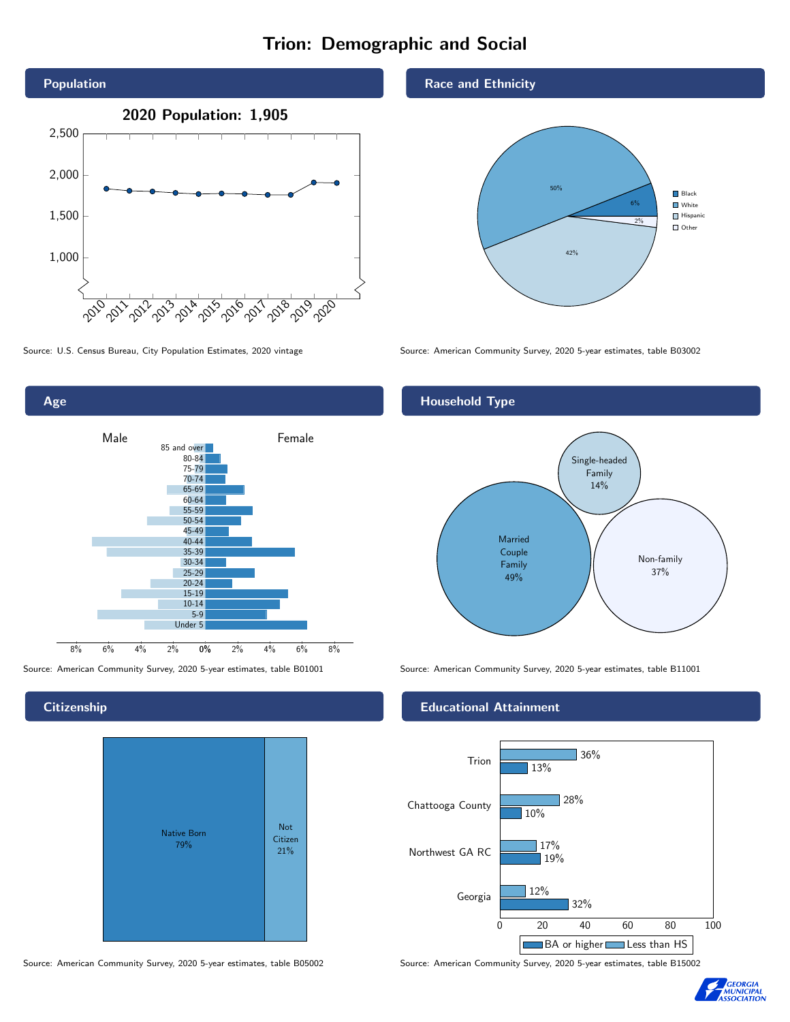# Trion: Demographic and Social





**Citizenship** 



Race and Ethnicity



Source: U.S. Census Bureau, City Population Estimates, 2020 vintage Source: American Community Survey, 2020 5-year estimates, table B03002

# Household Type



Source: American Community Survey, 2020 5-year estimates, table B01001 Source: American Community Survey, 2020 5-year estimates, table B11001

#### Educational Attainment



Source: American Community Survey, 2020 5-year estimates, table B05002 Source: American Community Survey, 2020 5-year estimates, table B15002

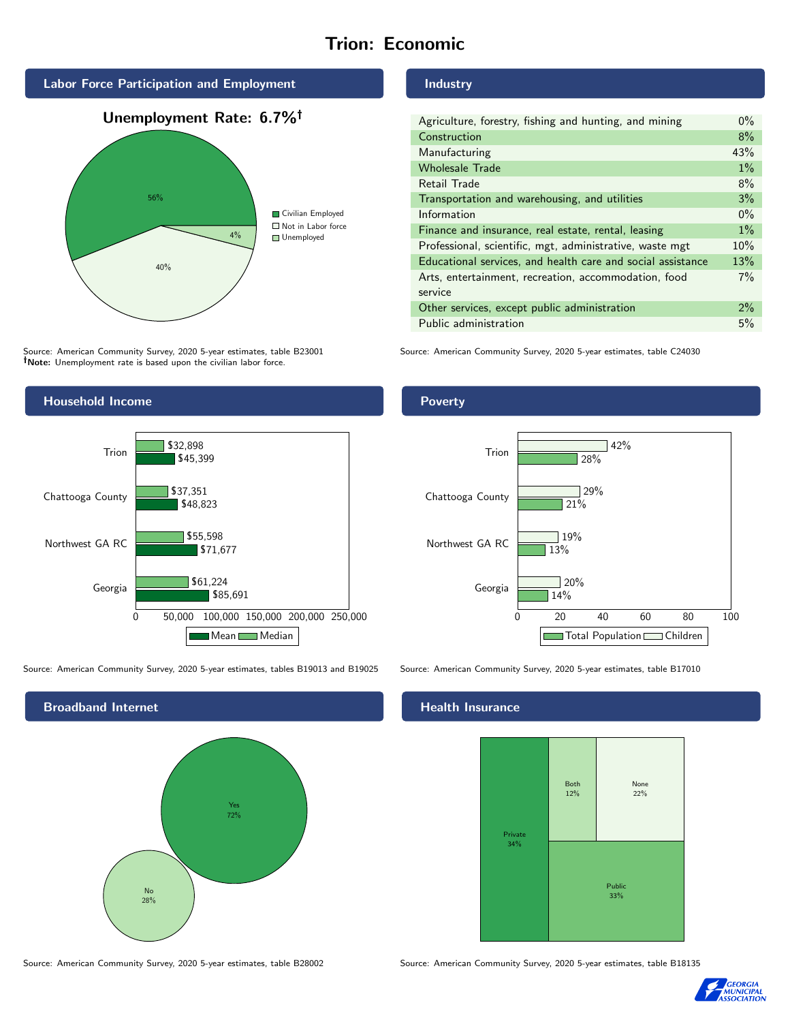# Trion: Economic



Source: American Community Survey, 2020 5-year estimates, table B23001 Note: Unemployment rate is based upon the civilian labor force.



| Agriculture, forestry, fishing and hunting, and mining      | $0\%$ |
|-------------------------------------------------------------|-------|
| Construction                                                | 8%    |
| Manufacturing                                               | 43%   |
| <b>Wholesale Trade</b>                                      | $1\%$ |
| Retail Trade                                                | 8%    |
| Transportation and warehousing, and utilities               | 3%    |
| Information                                                 | $0\%$ |
| Finance and insurance, real estate, rental, leasing         | $1\%$ |
| Professional, scientific, mgt, administrative, waste mgt    | 10%   |
| Educational services, and health care and social assistance | 13%   |
| Arts, entertainment, recreation, accommodation, food        | 7%    |
| service                                                     |       |
| Other services, except public administration                | $2\%$ |
| Public administration                                       | 5%    |

Source: American Community Survey, 2020 5-year estimates, table C24030



Source: American Community Survey, 2020 5-year estimates, tables B19013 and B19025 Source: American Community Survey, 2020 5-year estimates, table B17010



Source: American Community Survey, 2020 5-year estimates, table B28002 Source: American Community Survey, 2020 5-year estimates, table B18135

Poverty



## **Health Insurance**